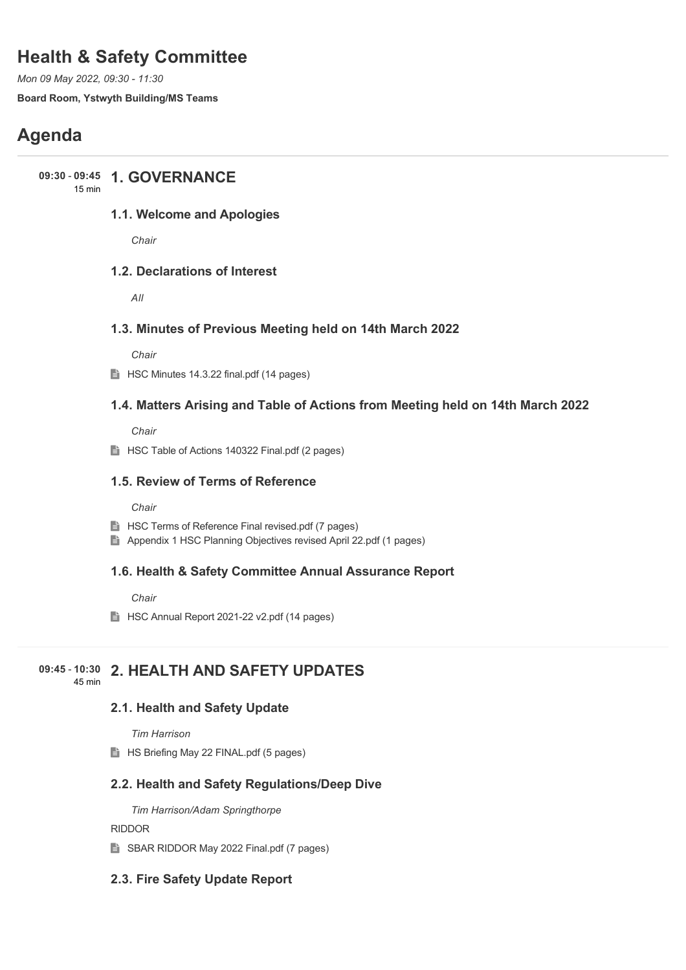# **Health & Safety Committee**

*Mon 09 May 2022, 09:30 - 11:30*

**Board Room, Ystwyth Building/MS Teams**

# **Agenda**

## **1. GOVERNANCE 09:30** - **09:45**

15 min

### **1.1. Welcome and Apologies**

*Chair*

### **1.2. Declarations of Interest**

*All*

### **1.3. Minutes of Previous Meeting held on 14th March 2022**

*Chair*

 $\implies$  HSC Minutes 14.3.22 final.pdf (14 pages)

### **1.4. Matters Arising and Table of Actions from Meeting held on 14th March 2022**

*Chair*

**HSC Table of Actions 140322 Final.pdf (2 pages)** 

### **1.5. Review of Terms of Reference**

*Chair*

- $\Box$  HSC Terms of Reference Final revised.pdf (7 pages)
- Appendix 1 HSC Planning Objectives revised April 22.pdf (1 pages)

### **1.6. Health & Safety Committee Annual Assurance Report**

*Chair*

**HSC Annual Report 2021-22 v2.pdf (14 pages)** 

#### **2. HEALTH AND SAFETY UPDATES 09:45** - **10:30** 45 min

**2.1. Health and Safety Update**

### *Tim Harrison*

**HS Briefing May 22 FINAL.pdf (5 pages)** 

### **2.2. Health and Safety Regulations/Deep Dive**

*Tim Harrison/Adam Springthorpe*

### RIDDOR

SBAR RIDDOR May 2022 Final.pdf (7 pages)

### **2.3. Fire Safety Update Report**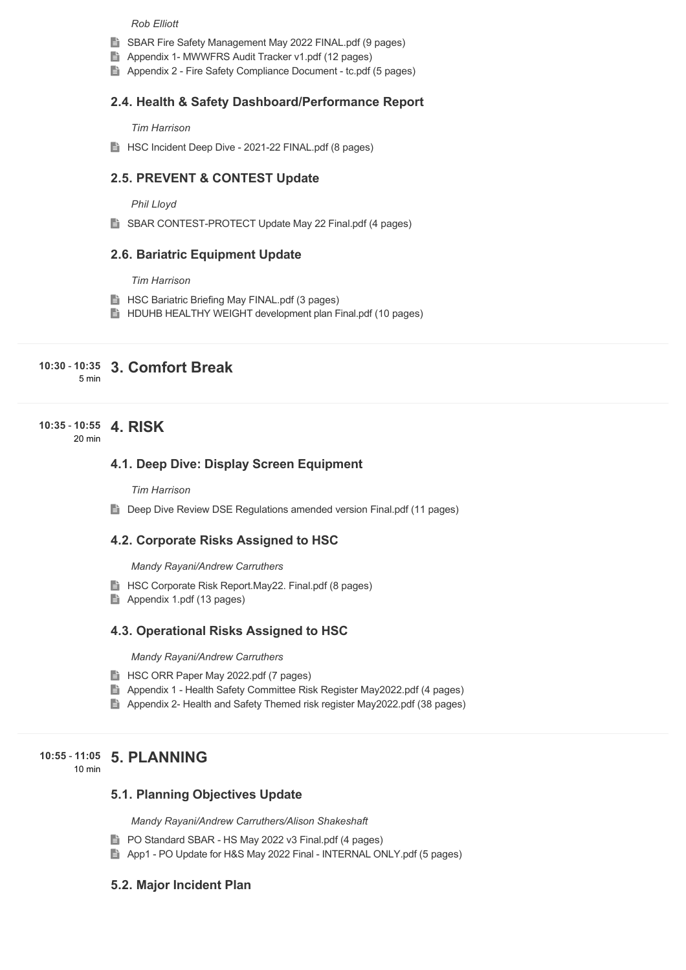#### *Rob Elliott*

- SBAR Fire Safety Management May 2022 FINAL.pdf (9 pages)
- Appendix 1- MWWFRS Audit Tracker v1.pdf (12 pages)
- Appendix 2 Fire Safety Compliance Document tc.pdf (5 pages)

#### **2.4. Health & Safety Dashboard/Performance Report**

#### *Tim Harrison*

**HSC Incident Deep Dive - 2021-22 FINAL.pdf (8 pages)** 

### **2.5. PREVENT & CONTEST Update**

#### *Phil Lloyd*

SBAR CONTEST-PROTECT Update May 22 Final.pdf (4 pages)

#### **2.6. Bariatric Equipment Update**

#### *Tim Harrison*

- **HSC Bariatric Briefing May FINAL.pdf (3 pages)**
- **HE** HDUHB HEALTHY WEIGHT development plan Final.pdf (10 pages)

#### **3. Comfort Break 10:30** - **10:35** 5 min

#### **4. RISK 10:35** - **10:55** 20 min

### **4.1. Deep Dive: Display Screen Equipment**

#### *Tim Harrison*

**Deep Dive Review DSE Regulations amended version Final.pdf (11 pages)** 

#### **4.2. Corporate Risks Assigned to HSC**

#### *Mandy Rayani/Andrew Carruthers*

- **HSC Corporate Risk Report.May22. Final.pdf (8 pages)**
- Appendix 1.pdf (13 pages)

#### **4.3. Operational Risks Assigned to HSC**

*Mandy Rayani/Andrew Carruthers*

- **HSC ORR Paper May 2022.pdf (7 pages)**
- Appendix 1 Health Safety Committee Risk Register May2022.pdf (4 pages)
- Appendix 2- Health and Safety Themed risk register May2022.pdf (38 pages)

### **5. PLANNING 10:55** - **11:05**

10 min

#### **5.1. Planning Objectives Update**

*Mandy Rayani/Andrew Carruthers/Alison Shakeshaft*

- **PO Standard SBAR HS May 2022 v3 Final.pdf (4 pages)**
- App1 PO Update for H&S May 2022 Final INTERNAL ONLY.pdf (5 pages)

#### **5.2. Major Incident Plan**